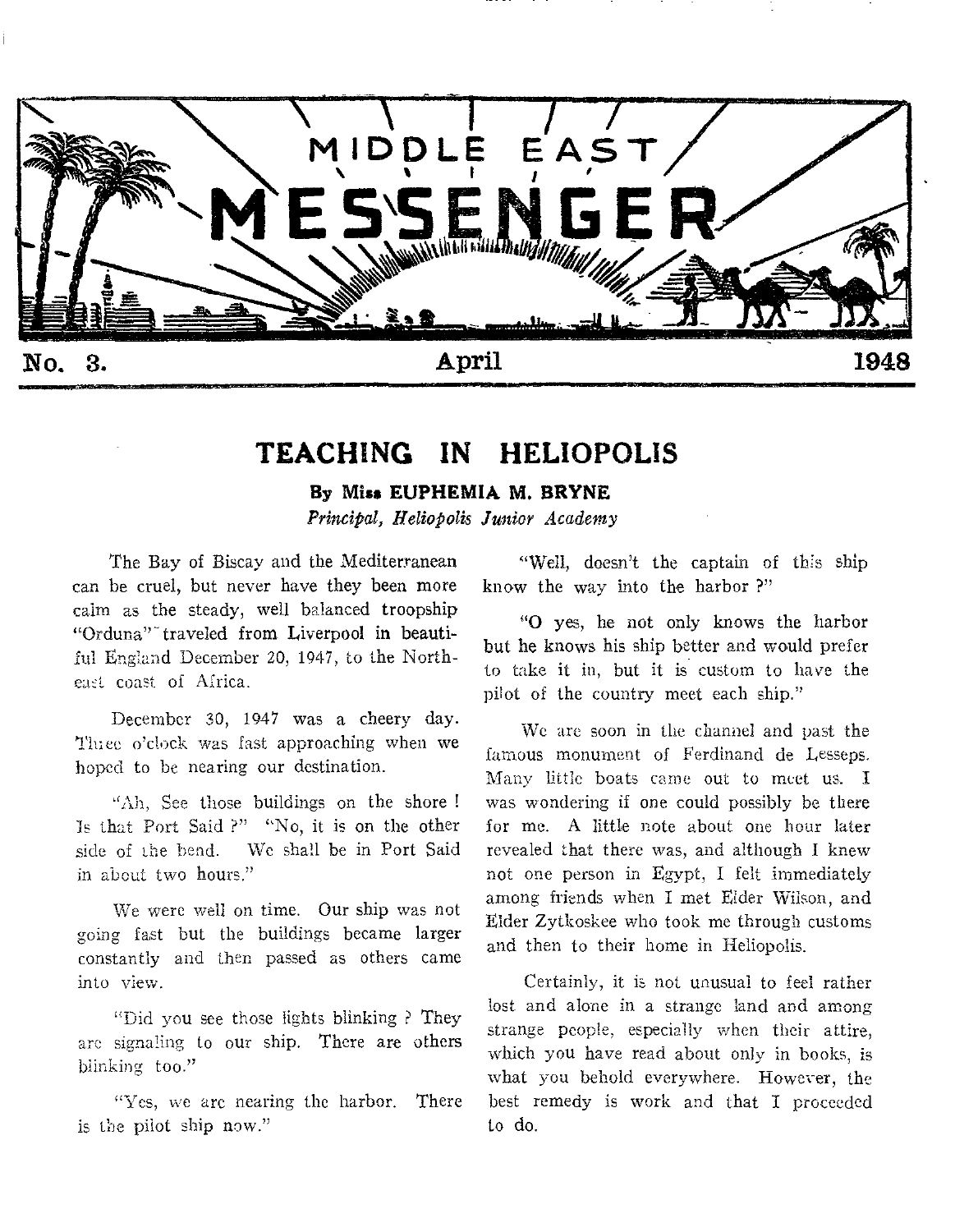

# **TEACHING IN HELIOPOLIS**

## **By Miss EUPHEMIA M. BRYNE**

*Principal, Heliopolis Junior Academy* 

The Bay of Biscay and the Mediterranean can be cruel, but never have they been more calm as the steady, well balanced troopship "Orduna"-traveled from Liverpool in beautiful England December 20, 1947, to the Northeaet coast of Africa.

December 30, 1947 was a cheery day. 'Mee o'clock was fast approaching when we hoped to be nearing our destination.

"Ah, See those buildings on the shore ! 15 that Port Said ?" "No, it is on the other side of the bend. We shall be in Port Said in about two hours."

We were well on time. Our ship was not going fast but the buildings became larger constantly and then passed as others came into view.

"Did you see those lights blinking ? They arc signaling to our ship. There are others blinking too."

"Yes, we arc nearing the harbor. There is the pilot ship now."

"Well, doesn't the captain of this ship know the way into the harbor ?"

"0 yes, he not only knows the harbor but he knows his ship better and would prefer to take it in, but it is custom to have the pilot of the country meet each ship."

We are soon in the channel and past the famous monument of Ferdinand de Lesseps. Many little boats came out to meet us. I was wondering if one could possibly be there for me. A little note about one hour later revealed that there was, and although I knew not one person in Egypt, I felt immediately among friends when I met Elder Wilson, and Elder Zytkoskee who took me through customs and then to their home in Heliopolis.

Certainly, it is not unusual to feel rather lost and alone in a strange land and among strange people, especially when their attire, which you have read about only in books, is what you behold everywhere. However, the best remedy is work and that I proceeded to do.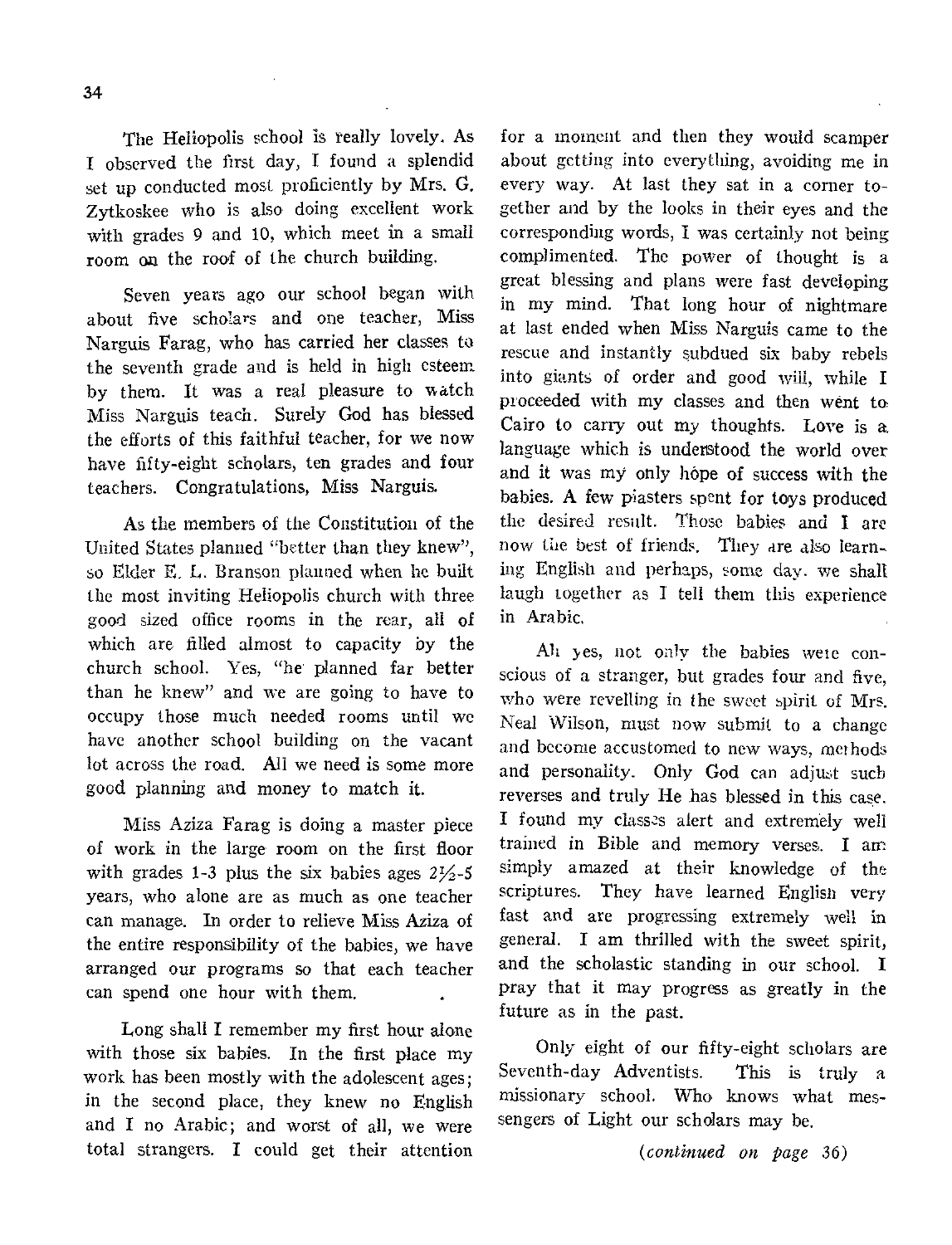34

The Heliopolis school is really lovely. As I observed the first day, I found a splendid set up conducted most proficiently by Mrs. G. Zytkoskee who is also doing excellent work with grades 9 and 10, which meet in a small room on the roof of the church building.

Seven years ago our school began with about five scholars and one teacher, Miss Narguis Farag, who has carried her classes to the seventh grade and is held in high esteem by them. It was a real pleasure to watch Miss Narguis teach. Surely God has blessed the efforts of this faithful teacher, for we now have fifty-eight scholars, ten grades and four teachers. Congratulations, Miss Narguis.

As the members of the Constitution of the United States planned "better than they knew", so Elder E. L. Branson planned when he built the most inviting Heliopolis church with three good sized office rooms in the rear, all of which are filled almost to capacity by the church school. Yes, "he planned far better than he knew" and we are going to have to occupy those much needed rooms until we have another school building on the vacant lot across the road. All we need is some more good planning and money to match it.

Miss Aziza Farag is doing a master piece of work in the large room on the first floor with grades 1-3 plus the six babies ages  $2\frac{1}{2}$ -5 years, who alone are as much as one teacher can manage. In order to relieve Miss Aziza of the entire responsibility of the babies, we have arranged our programs so that each teacher can spend one hour with them.

Long shall I remember my first hour alone with those six babies. In the first place my work has been mostly with the adolescent ages; in the second place, they knew no English and I no Arabic; and worst of all, we were total strangers. I could get their attention

for a moment and then they would scamper about getting into everything, avoiding me in every way. At last they sat in a corner together and by the looks in their eyes and the corresponding words, I was certainly not being complimented. The power of thought is a great blessing and plans were fast developing in my mind. That long hour of nightmare at last ended when Miss Narguis came to the rescue and instantly subdued six baby rebels into giants of order and good will, while I proceeded with my classes and then went to Cairo to carry out my thoughts. Love is a. language which is understood the world over and it was my only hope of success with the babies. A few piasters spent for toys produced the desired result. Those babies and I are now the best of friends. They are also learning English and perhaps, some day. we shall laugh together as I tell them this experience in Arabic.

Alt yes, not only the babies were conscious of a stranger, but grades four and five, who were revelling in the sweet spirit of Mrs. Neal Wilson, must now submit to a change and become accustomed to new ways, methods and personality. Only God can adjust such reverses and truly He has blessed in this case. I found my classes alert and extremely well trained in Bible and memory verses. I am simply amazed at their knowledge of the scriptures. They have learned English very fast and are progressing extremely well in general. I am thrilled with the sweet spirit, and the scholastic standing in our school. I pray that it may progress as greatly in the future as in the past.

Only eight of our fifty-eight scholars are Seventh-day Adventists. This is truly a missionary school. Who knows what messengers of Light our scholars may be.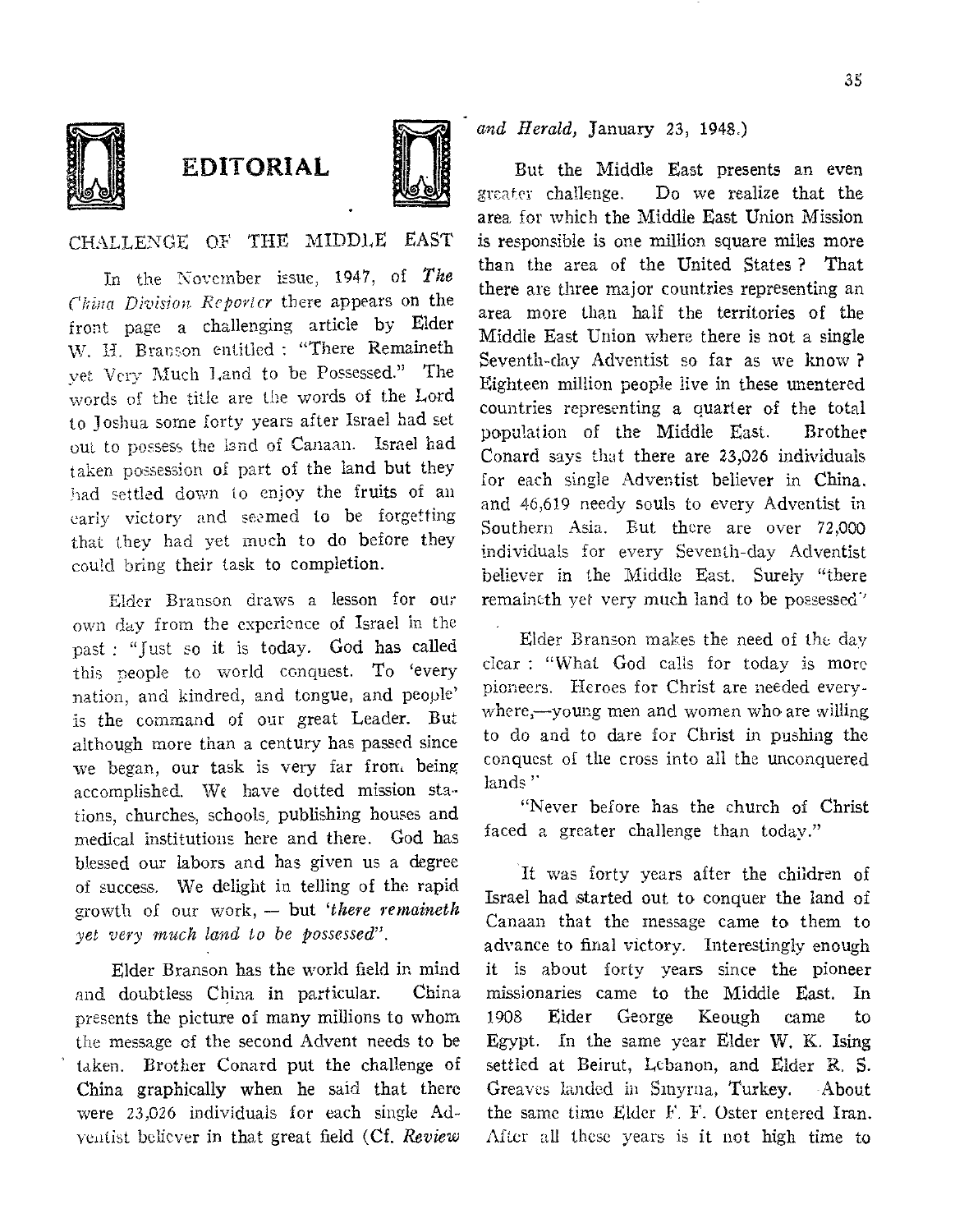

# EDITORIAL



CHALLENGE OF THE MIDDLE EAST

In the November issue, 1947, of *The China Division Reporter* there appears on the front page a challenging article by Elder W. H. Branson entitled : "There Remaineth yet Very Much Land to be Possessed." The words of the title are the words of the Lord to Joshua some forty years after Israel had set out to possess the land of Canaan. Israel had taken possession of part of the land but they had settled down to enjoy the fruits of an early victory and seamed to be forgetting that they had yet much to do before they could bring their task to completion.

Elder Branson draws a lesson for our own day from the experience of Israel in the past : "Just so it is today. God has called this people to world conquest. To 'every nation, and kindred, and tongue, and people' is the command of our great Leader. But although more than a century has passed since we began, our task is very far from being accomplished. We have dotted mission stations, churches, schools, publishing houses and medical institutions here and there. God has blessed our labors and has given us a degree of success. We delight in telling of the rapid growth of our work, — but *'there remaineth yet very much land to be possessed".* 

Elder Branson has the world field in mind and doubtless China in particular. China presents the picture of many millions to whom the message of the second Advent needs to be taken. Brother Conard put the challenge of China graphically when he said that there were 23,026 individuals for each single Adventist believer in that great field (Cf. *Review*  *and Herald,* January 23, 1948.)

But the Middle East presents an even greater challenge, Do we realize that the area for which the Middle East Union Mission is responsible is one million square miles more than the area of the United States ? That there are three major countries representing an area more than half the territories of the Middle East Union where there is not a single Seventh-day Adventist so far as we know ? Eighteen million people live in these unentered countries representing a quarter of the total population of the Middle East. Brother Conard says that there are 23,026 individuals for each single Adventist believer in China. and 46,619 needy souls to every Adventist in Southern Asia. But there are over 72,000 individuals for every Seventh-day Adventist believer in the Middle East. Surely "there remaineth yet very much land to be possessed'

Elder Branson makes the need of the day clear : "What God calls for today is more pioneers. Heroes for Christ are needed everywhere,—young men and women who are willing to do and to dare for Christ in pushing the conquest of the cross into all the unconquered lands<sup>"</sup>

"Never before has the church of Christ faced a greater challenge than today."

It was forty years after the children of Israel had started out to conquer the land of Canaan that the message came to them to advance to final victory. Interestingly enough it is about forty years since the pioneer missionaries came to the Middle East. In Eider George Keough came to Egypt. In the same year Elder W. K. Ising settled at Beirut, Lebanon, and Elder R. S. Greaves landed in Smyrna, Turkey. About the same time Elder F. F. Oster entered Iran. After all these years is it not high time to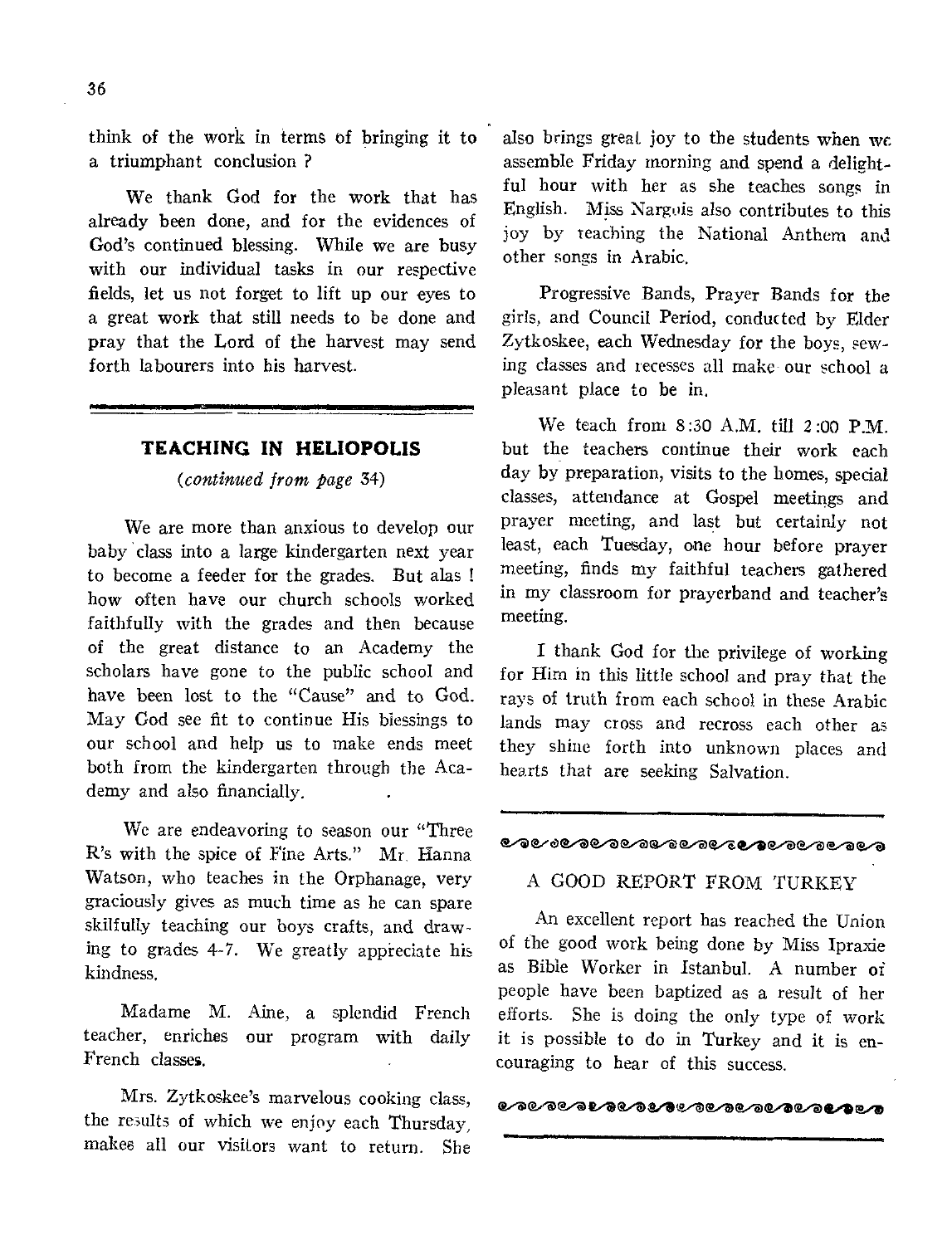think of the work in terms of bringing it to a triumphant conclusion ?

We thank God for the work that has already been done, and for the evidences of God's continued blessing. While we are busy with our individual tasks in our respective fields, let us not forget to lift up our eyes to a great work that still needs to be done and pray that the Lord of the harvest may send forth labourers into his harvest.

# **TEACHING IN HELIOPOLIS**

*(continued from page* 34)

We are more than anxious to develop our baby class into a large kindergarten next year to become a feeder for the grades. But alas ! how often have our church schools worked faithfully with the grades and then because of the great distance to an Academy the scholars have gone to the public school and have been lost to the "Cause" and to God. May God see fit to continue His blessings to our school and help us to make ends meet both from the kindergarten through the Academy and also financially.

We are endeavoring to season our "Three R's with the spice of Fine Arts." Mr. Hanna Watson, who teaches in the Orphanage, very graciously gives as much time as he can spare skilfully teaching our boys crafts, and drawing to grades 4-7. We greatly appreciate his kindness.

Madame M. Aine, a splendid French teacher, enriches our program with daily French classes.

Mrs. Zytkoskee's marvelous cooking class, the results of which we enjoy each Thursday, makes all our visitors want to return. She also brings great joy to the students when we. assemble Friday morning and spend a delightful hour with her as she teaches songs in English. Miss Nargois also contributes to this joy by teaching the National Anthem and other songs in Arabic.

Progressive Bands, Prayer Bands for the girls, and Council Period, conducted by Elder Zytkoskee, each Wednesday for the boys, sewing classes and recesses all make our school a pleasant place to be in.

We teach from  $8:30$  A.M. till  $2:00$  PM. but the teachers continue their work each day by preparation, visits to the homes, special classes, attendance at Gospel meetings and prayer meeting, and last but certainly not least, each Tuesday, one hour before prayer meeting, finds my faithful teachers gathered in my classroom for prayerband and teacher's meeting.

I thank God for the privilege of working for Him in this little school and pray that the rays of truth from each school in these Arabic lands may cross and recross each other as they shine forth into unknown places and hearts that are seeking Salvation.

#### e. v vere vere verkende verken avanger avanger avanger avanger avanger avanger avanger avanger avanger avanger

## A GOOD REPORT FROM TURKEY

An excellent report has reached the Union of the good work being done by Miss Ipraxie as Bible Worker in Istanbul. A number of people have been baptized as a result of her efforts. She is doing the only type of work it is possible to do in Turkey and it is encouraging to hear of this success.

####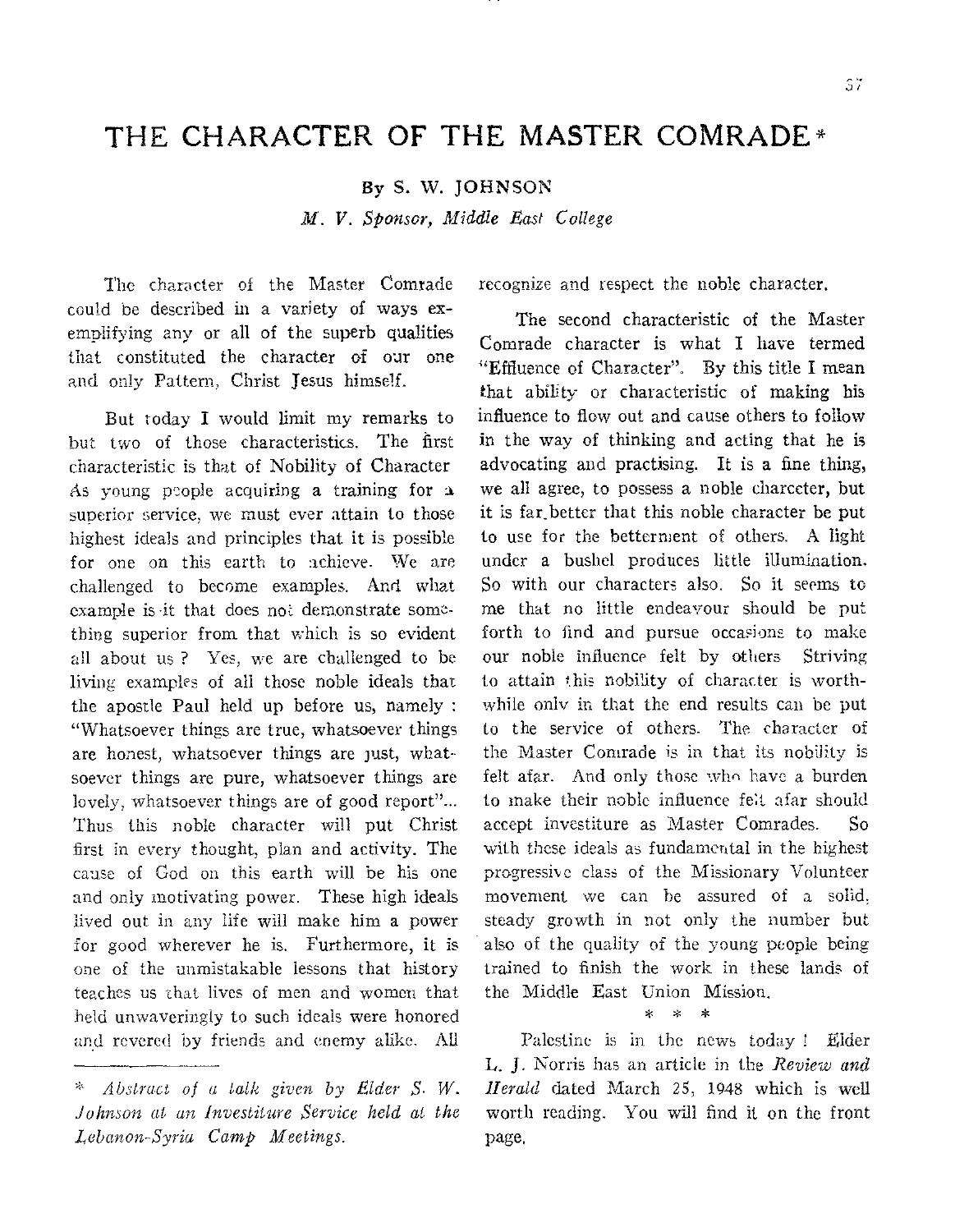# THE CHARACTER OF THE MASTER COMRADE\*

By S. **W. JOHNSON** 

*M. V. Sponsor, Middle Last College* 

The character of the Master Comrade could be described in a variety of ways exemplifying any or all of the superb qualities that constituted the character of our one and only Pattern, Christ Jesus himself.

But today I would limit my remarks to but two of those characteristics. The first characteristic **is that** of Nobility of Character As young people acquiring a training for a superior service, we must ever attain to those highest ideals **and** principles that it is possible for **one on** this earth to achieve. We are challenged to become examples. And *what*  example is •it that does not demonstrate something superior from that which is so evident all about us ? Yes, we are challenged to be living examples of all those noble ideals that the **apostle** Paul held up before us, namely : "Whatsoever things are true, whatsoever things *are* honest, whatsoever things are just, whatsoever **things are** pure, whatsoever things are lovely, whatsoever things are of good report"... Thus this noble character will put Christ first in every thought, **plan** and activity. The cause of God on this earth will be his one and only motivating **power.** These high ideals lived out in any life will make him a power **for** good wherever he is. Furthermore, it is one of the unmistakable lessons that history teaches us that lives of *men* **and** women that held unwaveringly to such ideals were honored and revered by friends and enemy alike. All recognize and respect the noble character.

The second characteristic of the Master Comrade character is what I have termed "Effluence of Character". By this title I mean that ability or characteristic of making his influence to flow out and cause others to follow in the way of thinking and acting that he is advocating and practising. It is a fine thing, we all agree, to possess a noble charccter, but it is far.better that this noble character be put to use for the betterment of others. A light under a bushel produces little illumination. So with our characters also. So it seems to me that no little endeavour should be put forth to find and pursue occasions to make our noble influence felt by others Striving to attain this nobility of character **is** worthwhile only in that the end results **can** be put to the **service** of **others. The character of**  the Master Comrade is **in that its nobility is**  felt **afar.** And only those who have **a burden**  to **make** their noble influence felt afar should accept **investiture as Master Comrades.** So **with these ideals as fundamental in the highest progressive class of the Missionary Volunteer movement we can be assured** of a solid, **steady growth in not only the number but also of** the quality of the young people being trained to finish the work **in these** lands of the Middle East **Union Mission.** 

#### **\* \* \***

**Palestine is in the news today I Elder**  L. **J. Norris has an article in the** *Review and Herald* **dated March 25, 1948** which **is well worth reading. You will find** it on the front page,

*<sup>\*</sup> Abstract of a talk given by Elder S. W. Johnson at an Investiture Service held at the Lebanon-Syria Camp Meetings.*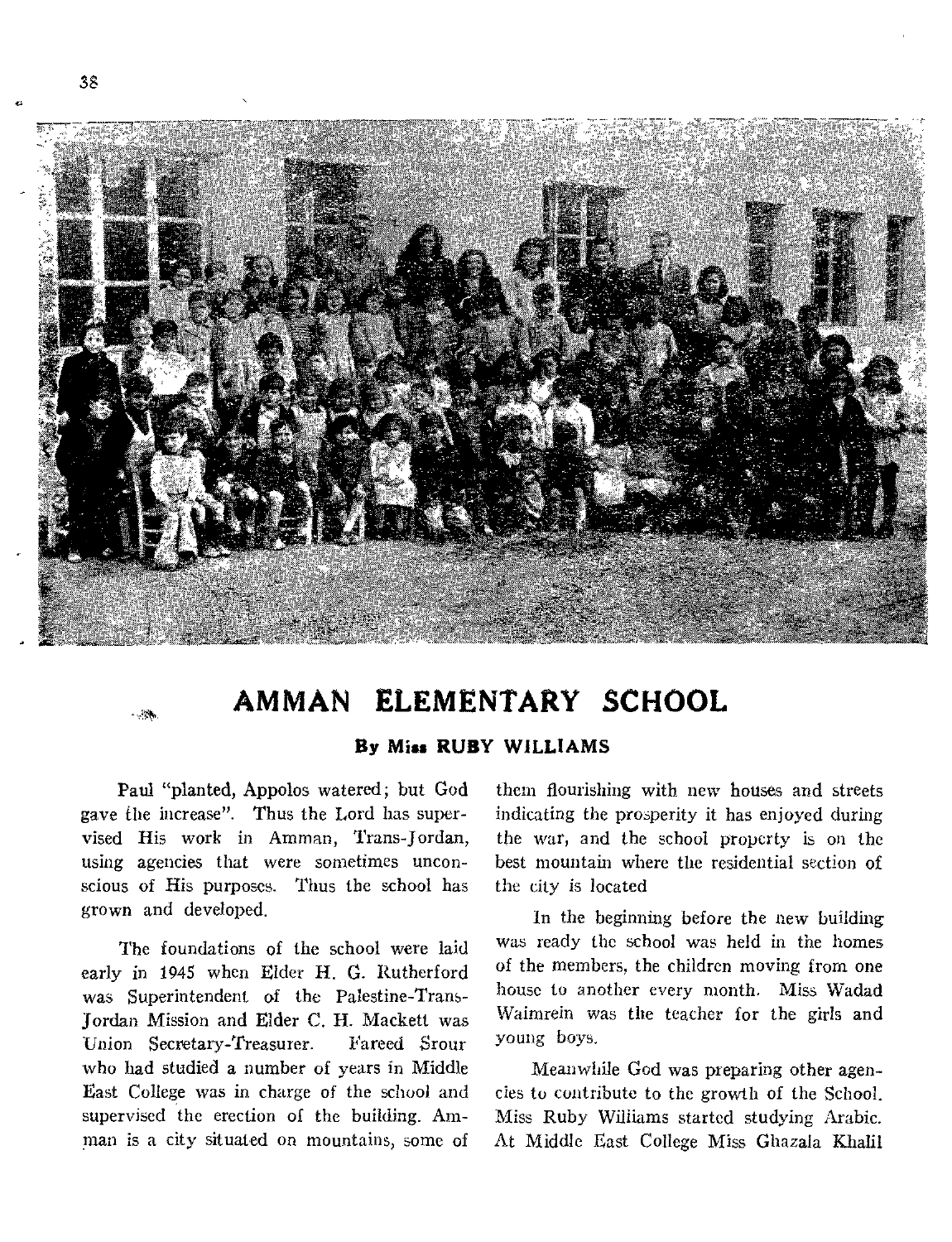

# **AMMAN ELEMENTARY SCHOOL**

By Miss RUBY WILLIAMS

Paul "planted, Appolos watered; but God gave the increase". Thus the Lord has supervised His work in Amman, Trans-Jordan, using agencies that were sometimes unconscious of His purposes. Thus the school has grown and developed.

The foundations of the school were laid early in 1945 when Elder H. *G.* Rutherford was Superintendent of the Palestine-Trans-Jordan Mission and Elder C. H. Mackett was Union Secretary-Treasurer. Fareed Srour who had studied a number of years in Middle East College was in charge of the school and supervised the erection of the building. Amman is a city situated on mountains, some of

them flourishing with new houses and streets indicating the prosperity it has enjoyed during the war, and the school property is on the best mountain where the residential section of the city is located

In the beginning before the new building was ready the school was held in the homes of the members, the children moving from one house to another every month. Miss Wadad Waimrein was the teacher for the girls and young boys.

Meanwhile God was preparing other agencies to contribute to the growth of the School. Miss Ruby Williams started studying Arabic. At Middle East College Miss Ghazala Khalil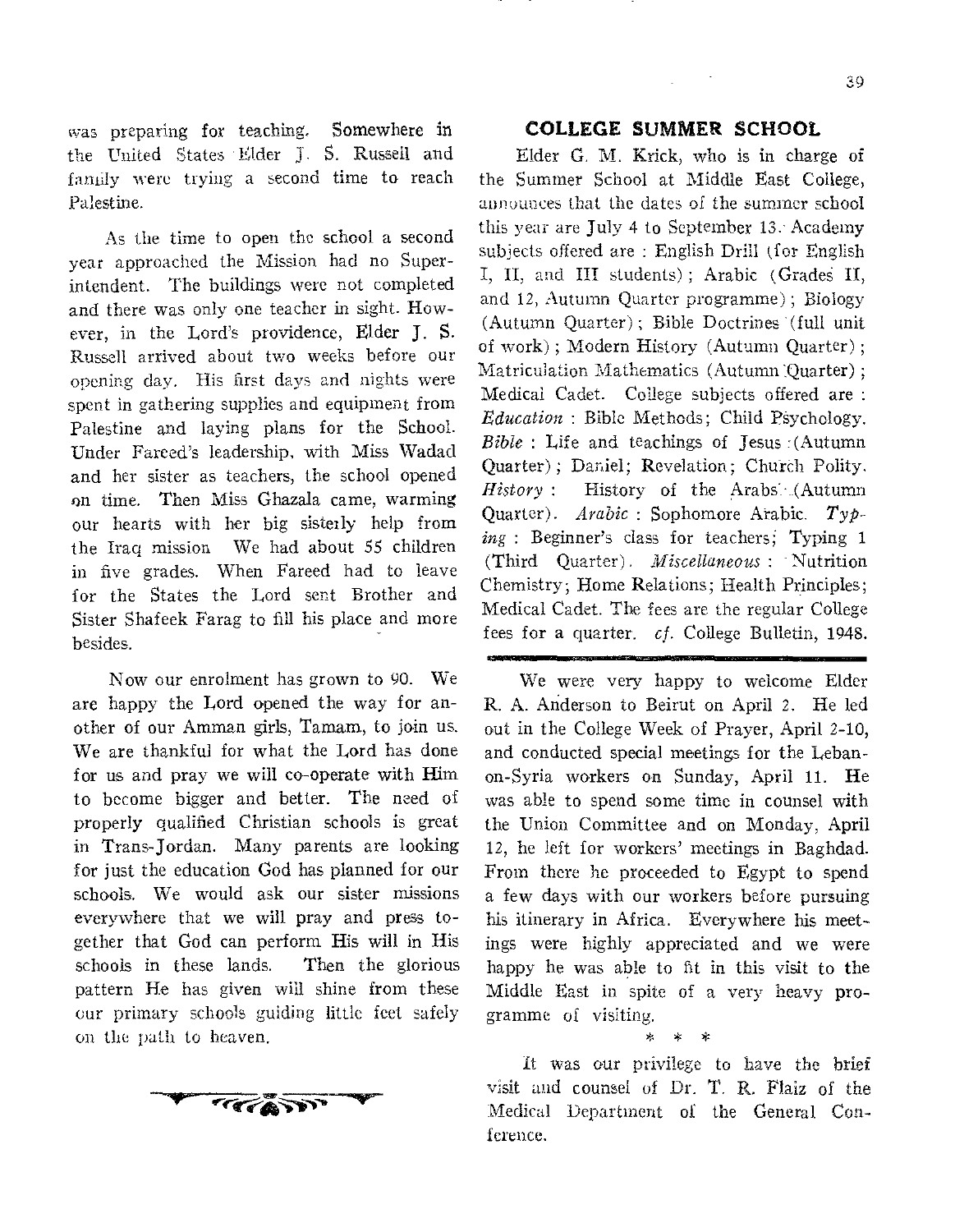**was preparing for** teaching. **Somewhere in the United States 'Elder J.** S. Russell and family were **trying a second** time to reach **Palestine.** 

**As the time** to open **the** school a second year approached the **Mission** had no Superintendent. **The** buildings **were** not completed and there was only one teacher in sight. However, in the Lord's providence, **Elder J. S. Russell arrived about** two weeks before our **opening day. His first days** and nights were **spent in gathering supplies and** equipment from **Palestine** and laying plans for the School. Under Fareed's leadership, with Miss Wadad and her sister as teachers, the school opened on time. Then Miss Ghazala came, warming our hearts with her big sisterly help from the Iraq mission We had about 55 children in five grades. When Fareed had to leave for the States the Lord sent Brother and Sister Shafeek Farag to fill his place and more besides.

Now our enrolment has grown to 90. We are happy the Lord opened the way for another of our Amman girls, Tamam, to join us. We are thankful for what the Lord has done for us and pray we will co-operate with Him to become bigger and better. The need of properly qualified Christian schools is great in Trans-Jordan. Many parents are looking for just the education God has planned for our schools. We would ask our sister missions everywhere that we will pray and press together that God can perform His will in His schools in these lands. Then the glorious pattern **He has given** will shine from these **our primary schools guiding little feet safely on the path to heaven.** 



# **COLLEGE COLLEGE SUMMER SCHOOL**

Elder G. M. Krick, who is in charge of **the Summer** School **at** Middle East College, **announces that** the **dates of** the summer school **this year are July 4 to September** 13: **Academy subjects offered are : English** Drill ifor English I, **II, and III students) ;** Arabic **(GradeS II,**  and **12, Autumn Quarter programme);** Biology **(Autumn** Quarter) ; Bible Doctrines (full unit of **work) ; Modern** History (Autumn Quarter) ; Matriculation Mathematics (Autumn Quarter); Medical Cadet. College subjects offered are : *Education* : Bible Methods: Child Psychology. *Bible :* Life and teachings of Jesus :(Autumn Quarter) ; Daniel; Revelation; Chureh Polity. History : History of the Arabs. (Autumn **Quarter).** *Arabic :* Sophomore Arabic. *Typing :* Beginner's class for **teachers;** Typing 1 (Third Quarter). *Miscellaneous :* Nutrition Chemistry; Home **Relations; Health** Principles; Medical Cadet. The fees are the regular College fees for a quarter. *cf.* College Bulletin, 1948.

We were very happy to welcome Elder R. A. Anderson to Beirut on April 2. He led out in the College Week of Prayer, April 2-10, and conducted special meetings for the Lebanon-Syria workers on Sunday, April 11. He was able to spend some time in counsel with the Union Committee and on Monday, April 12, he left **for** workers' meetings in Baghdad. From there he proceeded to Egypt to spend a few days with our workers before pursuing his itinerary in Africa. Everywhere his meetings were highly appreciated and we were happy he was able to fit in this visit to the Middle **East in spite of** a very heavy programme **of visiting.** 

**\* \* \*** 

**It** was our **privilege to have the brief visit and counsel of Dr. T. R. Flaiz of the Medical Department of** the General **Conference.**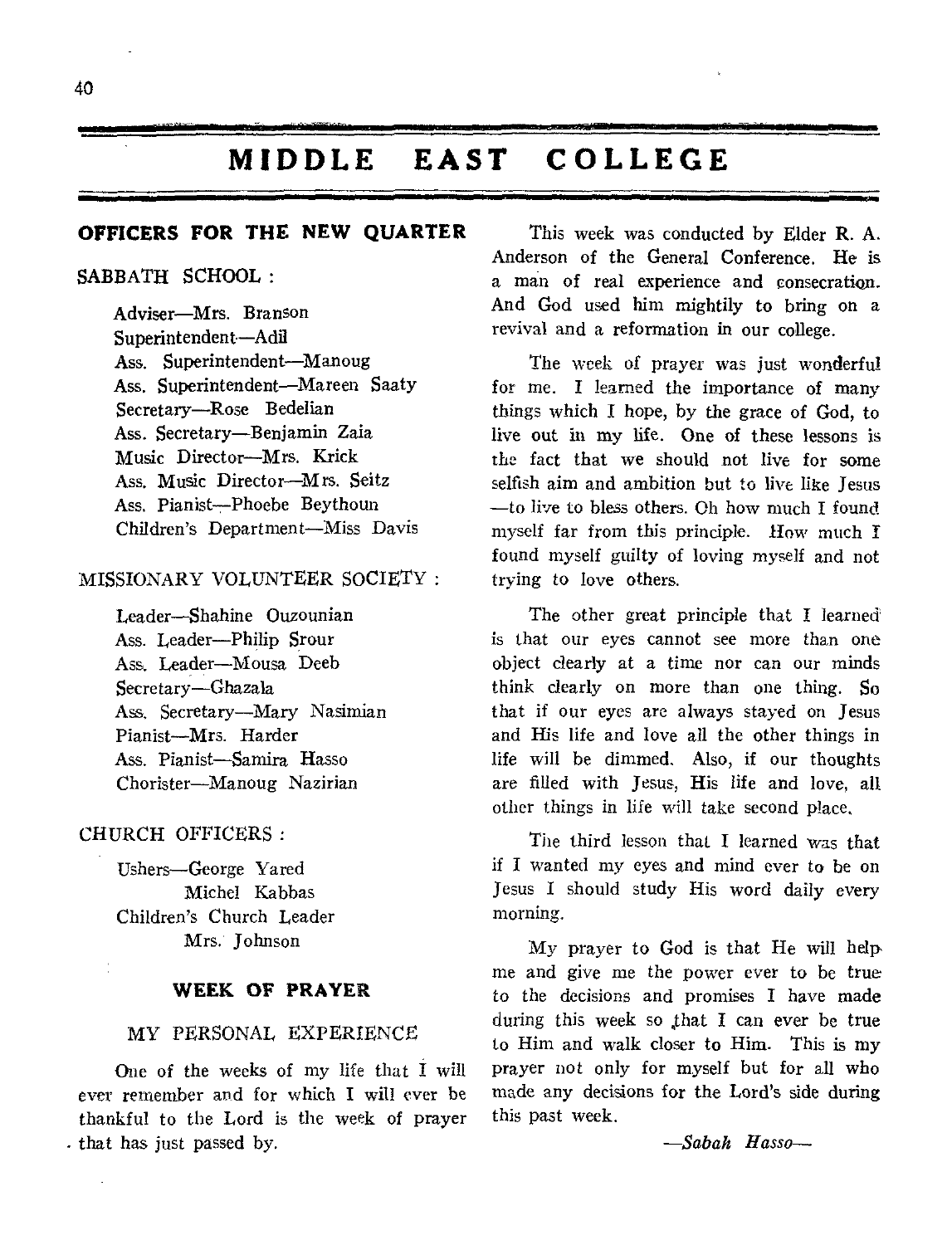# **MIDDLE EAST COLLEGE**

# **OFFICERS FOR THE NEW QUARTER**

## SABBATH SCHOOL:

Adviser—Mrs. Branson Superintendent—Adil Ass. Superintendent—Manoug Ass. Superintendent—Mareen Saaty Secretary—Rose Bedelian Ass. Secretary—Benjamin Zaia Music Director—Mrs. Krick Ass. Music Director—Mrs. Seitz Ass. Pianist—Phoebe Beythoun Children's Department—Miss Davis

# MISSIONARY VOLUNTEER SOCIETY :

Leader—Shahine Ouzounian Ass. Leader—Philip Srour Ass. Leader—Mousa Deeb Secretary—Ghazala Ass, Secretary—Mary Nasimian Pianist—Mrs. Harder Ass. Pianist—Samira Hasso Chorister—Manoug Nazirian

# CHURCH OFFICERS :

Ushers—George Yared Michel Kabbas Children's Church Leader Mrs. Johnson

# **WEEK OF PRAYER**

## MY PERSONAL EXPERIENCE

One of the weeks of my life that I will ever remember and for which I will ever be thankful to the Lord is the week of prayer that has just passed by.

This week was conducted by Elder R. A. Anderson of the General Conference. He is a man of real experience and consecration. And God used him mightily to bring on a revival and a reformation in our college.

The week of prayer was just wonderful for me. I learned the importance of many things which I hope, by the grace of God, to live out in my life. One of these lessons is the fact that we should not live for some selfish aim and ambition but to live like Jesus —to live to bless others. Oh how much I found myself far from this principle. How much I found myself guilty of loving myself and not trying to love others.

The other great principle that I learned is that our eyes cannot see more than one object clearly at a time nor can our minds think clearly on more than one thing. So that if our eyes are always stayed on Jesus and His life and love all the other things in life will be dimmed. Also, if our thoughts are filled with Jesus, His life and love, all other things in life will take second place,

The third lesson that I learned was that if I wanted my eyes and mind ever to be on Jesus I should study His word daily every morning.

My prayer to God is that He will help• me and give me the power ever to be true to the decisions and promises I have made during this week so that I can ever be true to Him and walk closer to Him. This is my prayer not only for myself but for all who made any decisions for the Lord's side during this past week.

*—Sabah Hasso—*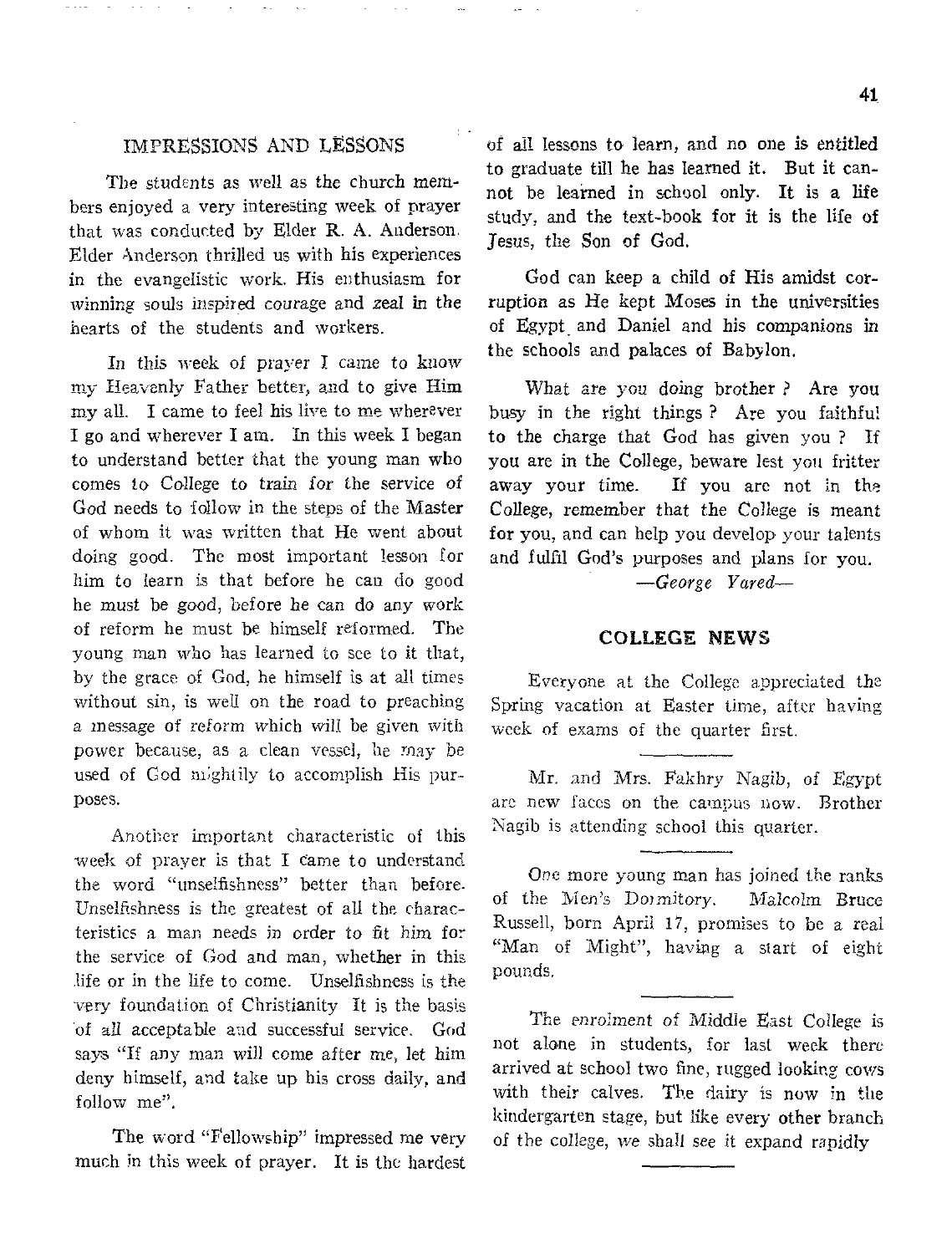# IMPRESSIONS AND LESSONS

The students as well as the church members enjoyed a very interesting week of prayer that was conducted by Elder R. A. Anderson. Elder Anderson thrilled us with his experiences in the evangelistic work. His enthusiasm for *winning* souls inspired courage and zeal in the hearts of the students and workers.

In this week of prayer I came to know my Heavenly Father better, and to give Him my all. I came to feel his live to me wherever I go and wherever I am. In this week I began to understand better that the young man who comes to College to train *for* the service of God needs to follow in the steps of the Master of whom it was written that He went about doing good. The most important lesson for him to learn is that before he can do good he must be good, before he can do any work of reform he must be himself reformed. The young man who has learned to see to it that, by the grace of God, he himself is at all times without sin, is well on the road to preaching a message of *reform* which will *be* given with power because, as a clean vessel, he may be used of God mightily to accomplish His purposes.

Another important characteristic of this week of prayer is that I Came to understand the word "unselfishness" better than before. Unselfishness is the greatest of all the characteristics a man needs in order to fit him for the service of God and man, whether in this life or in the life to come. Unselfishness is the very foundation of Christianity It is the basis of all acceptable and successful service. God says "If any man will come after me, let him deny himself, and take up his cross daily, and follow me".

The word "Fellowship" impressed me very much in this week of prayer. It is the hardest of all lessons to learn, and no one is entitled to graduate till he has learned it. But it cannot be learned in school only. It is a life study, and the text-book for it is the life of Jesus, the Son of God.

God can keep a child of His amidst corruption as He kept Moses in the universities of Egypt, and Daniel and his companions in the schools and palaces of Babylon.

What are you *doing* brother ? Are you busy in the right things ? Are you faithful to the charge that God has given you ? If you are in the College, beware lest you fritter away your time. If you are not in the College, remember that the College is meant for you, and can help you develop your talents and fulfil God's purposes and plans for you.

*—George Fared—* 

### COLLEGE NEWS

Everyone at the College appreciated the Spring vacation at Easter time, after having week of exams of the quarter first.

Mr. and Mrs. Fakhry Nagib, of Egypt are new faces on the campus now. Brother Nagib is attending school this quarter.

One more young man has joined the ranks of the Men's Dormitory. Malcolm Bruce Russell, born April 17, promises to be a real "Man of Might", having a start of eight pounds.

The enrolment of Middle East College is not alone in students, for last week there arrived at school two fine, rugged looking cows with their calves. The dairy is now in the kindergarten stage, but like every other branch of the college, we shall see it expand rapidly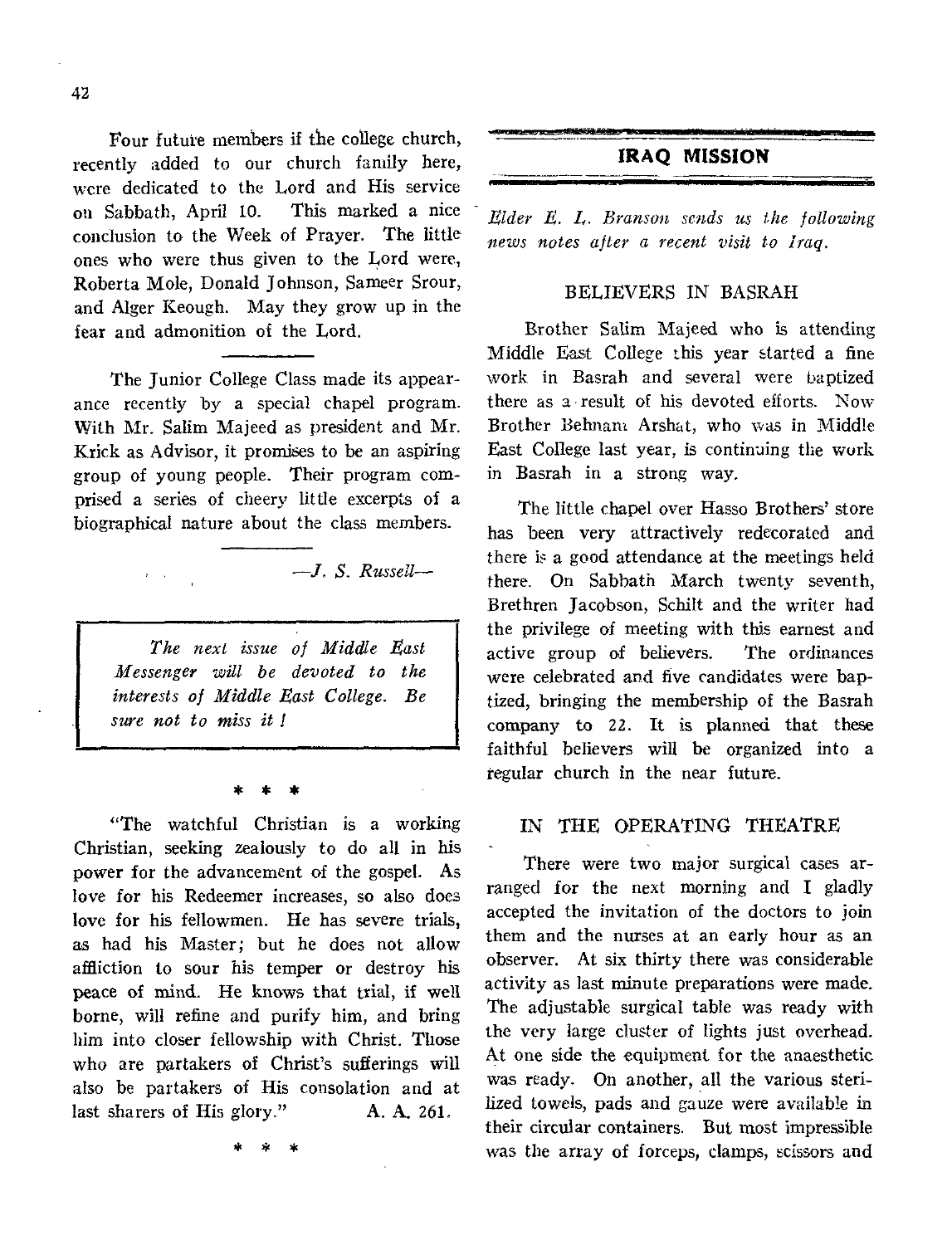Four future members if the college church, recently added to our church family here, were dedicated to the Lord and His service on Sabbath, April 10. This marked a nice conclusion to the Week of Prayer. The little ones who were thus given to the Lord were, Roberta Mole, Donald Johnson, Sameer Srour, and Alger Keough. May they grow up in the fear and admonition of the Lord.

The Junior College Class made its appearance recently by a special chapel program. With Mr. Salim Majeed as president and Mr. Krick as Advisor, it promises to be an aspiring group of young people. Their program comprised a series of cheery little excerpts of a biographical nature about the class members.

*The next issue of Middle East Messenger will be devoted to the interests of Middle East College. Be sure not to miss it* 

*—J. S. Russell—* 

\* \* \*

"The watchful Christian is a working Christian, seeking zealously to do all in his power for the advancement of the gospel. As love for his Redeemer increases, so also does love for his fellowmen. He has severe trials, as had his Master; but he does not allow affliction to sour his temper or destroy his peace of mind. He knows that trial, if well borne, will refine and purify him, and bring him into closer fellowship with Christ. Those who are partakers of Christ's sufferings will also be partakers of His consolation and at last sharers of His glory." A. A. 261.

\* \* \*

# **IRAQ MISSION**

*Elder E. L. Branson sends us the following news notes after a recent visit to Iraq.* 

1•1111.=•••11

#### BELIEVERS IN BASRAH

Brother Salim Majeed who is attending Middle East College this year started a fine work in Basrah and several were baptized there as a result of his devoted efforts. Now Brother Behnam Arshat, who was in Middle East College last year, is continuing the work in Basrah in a strong way.

The little chapel over Hasso Brothers' store has been very attractively redecorated and there is a good attendance at the meetings held there. On Sabbath March twenty seventh, Brethren Jacobson, Schilt and the writer had the privilege of meeting with this earnest and active group of believers. The ordinances were celebrated and five candidates were baptized, bringing the membership of the Basrah company to 22. It is planned that these faithful believers will be organized into a regular church in the near future.

# IN THE OPERATING THEATRE

There were two major surgical cases arranged for the next morning and I gladly accepted the invitation of the doctors to join them and the nurses at an early hour as an observer. At six thirty there was considerable activity as last minute preparations were made. The adjustable surgical table was ready with the very large cluster of lights just overhead. At one side the equipment for the anaesthetic was ready. On another, all the various sterilized towels, pads and gauze were available in their circular containers. But most impressible was the array of forceps, clamps, scissors and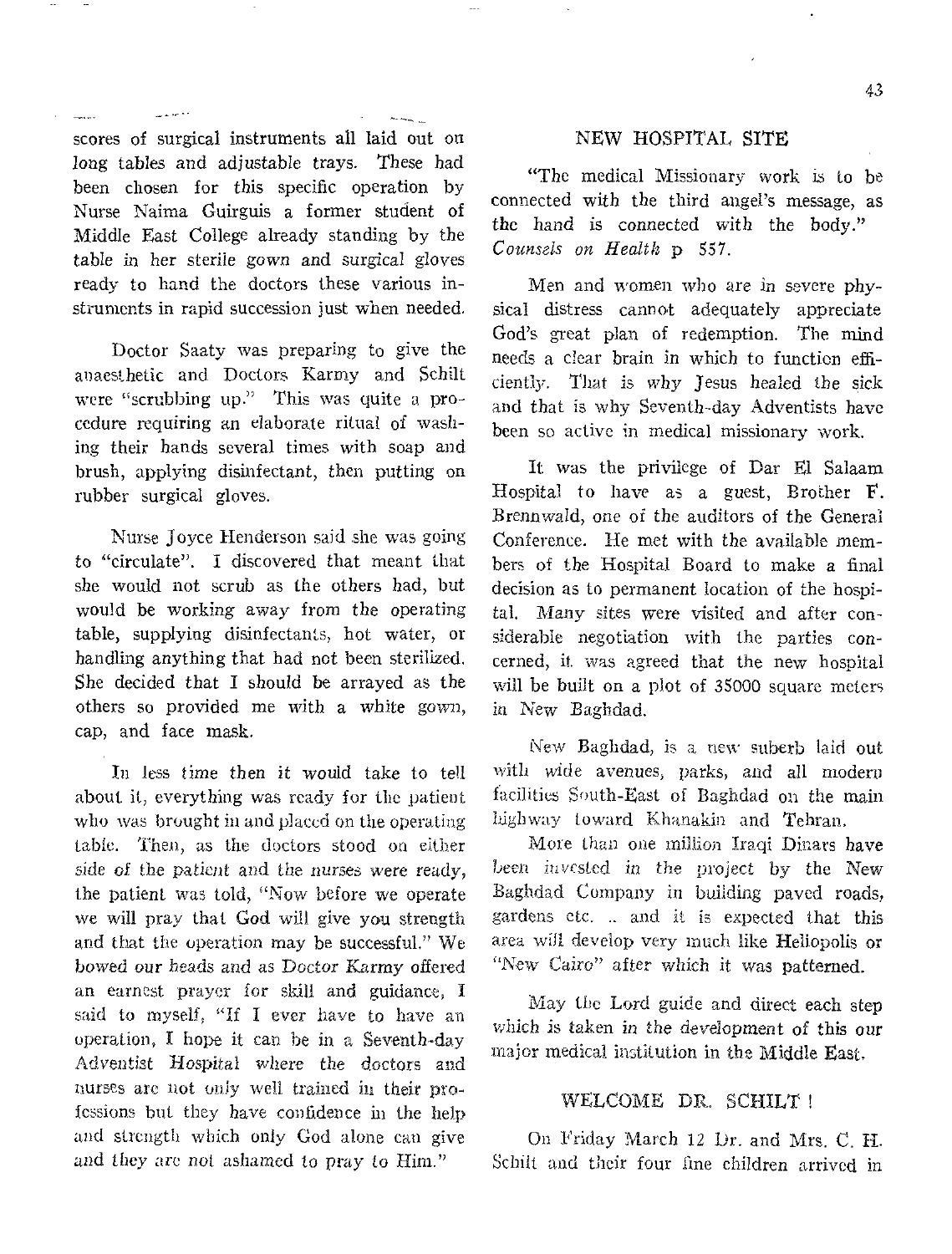scores of surgical instruments all laid out on long tables and adjustable trays. These had been chosen for this specific operation by Nurse Naima Guirguis a former student of Middle East College already standing by the table in her sterile gown and surgical gloves ready to hand the doctors these various instruments in rapid succession just when needed.

Doctor Saaty was preparing to give the anaesthetic and Doctors Karmy and Schilt were "scrubbing up." This was quite a procedure requiring an elaborate ritual of washing their hands several times with soap and brush, applying disinfectant, then putting on rubber surgical gloves.

Nurse Joyce Henderson said she was going to "circulate". I discovered that meant that she would not scrub as the others had, but would be working away from the operating table, supplying disinfectants, hot water, or handling anything that had not been sterilized. She decided that I should be arrayed as the others so provided me with a white gown, cap, and face mask.

In *less time* then *it* would take to tell about it, everything was ready for the patient who was brought in and placed on the operating table. Then, as the doctors stood on either side of the patient and *the nurses were* ready, the patient was told, "Now before we operate we will pray that God will give you strength and that the operation may be successful." We bowed our heads and as Doctor Karmy offered an earnest prayer for skill and guidance, I said to myself, "If I ever have to have an operation, I hope it can he in a Seventh-day Adventist Hospital where the doctors and nurses arc not only well trained in their professions but they have Confidence in the help and strength which only God alone can give *and* they are not ashamed to pray to Him."

# NEW HOSPITAL SITE

"The medical Missionary work is to be connected with the third angel's message, as the hand is connected with the body." *Counsels on Health* p 557.

Men and women who are in severe physical distress cannot adequately appreciate God's great plan of redemption. The mind needs a clear brain in which to function efficiently. That is *why* Jesus healed the sick and that is why Seventh-day Adventists have been so active in medical missionary work.

It was the privilege of Dar El Salaam Hospital to have as a guest, Brother F. Brennwald, one of the auditors of the General Conference. He met with the available members of the Hospital Board to make a final decision as to permanent location of the hospital. Many sites were visited and after considerable negotiation with the parties concerned, it was agreed that the new hospital will be built on a plot of 35000 square meters in New Baghdad.

New Baghdad, is a new suberb laid out with *wide avenues,* parks, and all modern facilities South-East of Baghdad on the main highway toward Khanakin and Tehran.

More than one million Iraqi Dinars have been invested in the project by the *New*  Baghdad Company in building paved roads, gardens etc. .. and it is expected that this area will develop very much like Heliopolis or "New Cairo" after which it was patterned.

May the Lord guide and direct each step which is taken *in* the development of this our major medical institution in the Middle East,

## WELCOME DR. SCHILT I

On Friday March 12 Dr. and Mrs. C. H. Schilt and their four fine children arrived in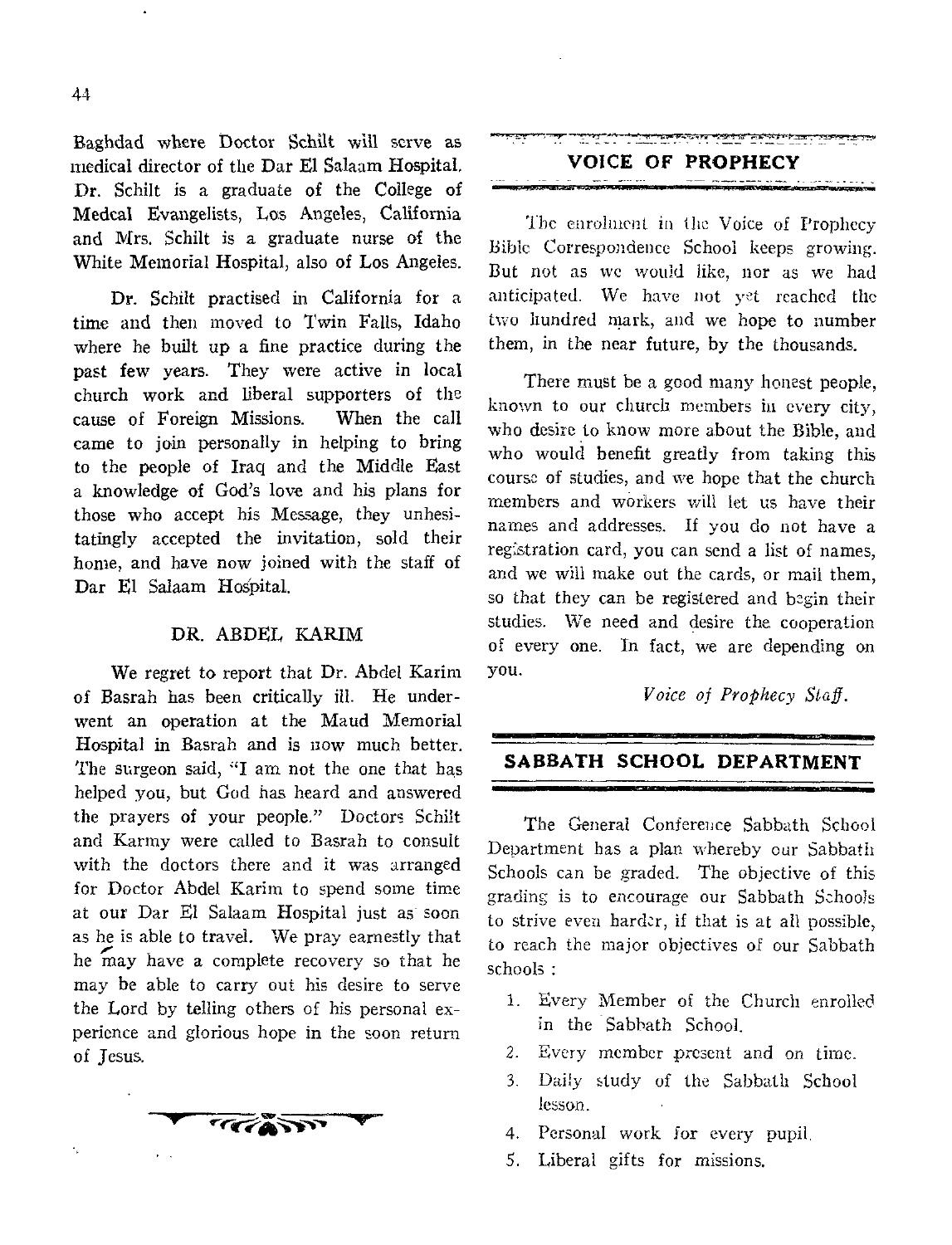Baghdad where Doctor Schilt will serve as medical director of the Dar El Salaam Hospital, Dr. Schilt is a graduate of the College of Medcal Evangelists, Los Angeles, California and Mrs. Schilt is a graduate nurse of the White Memorial Hospital, also of Los Angeles.

Dr. Schilt practised in California for a time and then moved to Twin Falls, Idaho where he built up a fine practice during the past few years. They were active in local church work and liberal supporters of the cause of Foreign Missions. When the call came to join personally in helping to bring to the people of Iraq and the Middle East a knowledge of God's love and his plans for those who accept his Message, they unhesitatingly accepted the invitation, sold their home, and have now joined with the staff of Dar El Salaam Hospital.

### DR. ABDEL KARIM

We regret to report that Dr. Abdel Karim of Basrah has been critically ill. He underwent an operation at the Maud Memorial Hospital in Basrah and is now much better. The surgeon said, "I am not the one that has helped you, but God has heard and answered the prayers of your people." Doctors Schilt and Karmy were called to Basrah to consult with the doctors there and it was arranged for Doctor Abdel Karim to spend some time at our Dar El Salaam Hospital just as soon as he is able to travel. We pray earnestly that he may have a complete recovery so that he may be able to carry out his desire to serve the Lord by telling others of his personal experience and glorious hope in the soon return of Jesus.



**VOICE OF PROPHECY** 

The enrolment in the Voice of Prophecy Bible Correspondence School keeps growing. But not as we would like, nor as we had anticipated. We have not yet reached the two hundred mark, and we hope to number them, in the near future, by the thousands.

There must be a good many honest people, known to our church members in every city, who desire to know more about the Bible, and who would benefit greatly from taking this course of studies, and we hope that the church members and workers will let us have their names and addresses. If you do not have a reglstration card, you can send a list of names, and we will make out the cards, or mail them, so that they can be registered and begin their studies. We need and desire the cooperation of every one. In fact, we arc depending on you.

*Voice of Prophecy Staff.* 

# **SABBATH SCHOOL DEPARTMENT**

The General Conference Sabbath School Department has a plan whereby our Sabbath Schools can be graded. The objective of this grading is to encourage our Sabbath Schools to strive even harder, if that is at all possible, to reach the major objectives of our Sabbath schools :

- 1. Every Member of the Church enrolled in the Sabbath School.
- 2. Every member present and on time.
- 3. Daily study of the Sabbath School lesson.
- 4. Personal work for every pupil.
- 5. Liberal gifts for missions.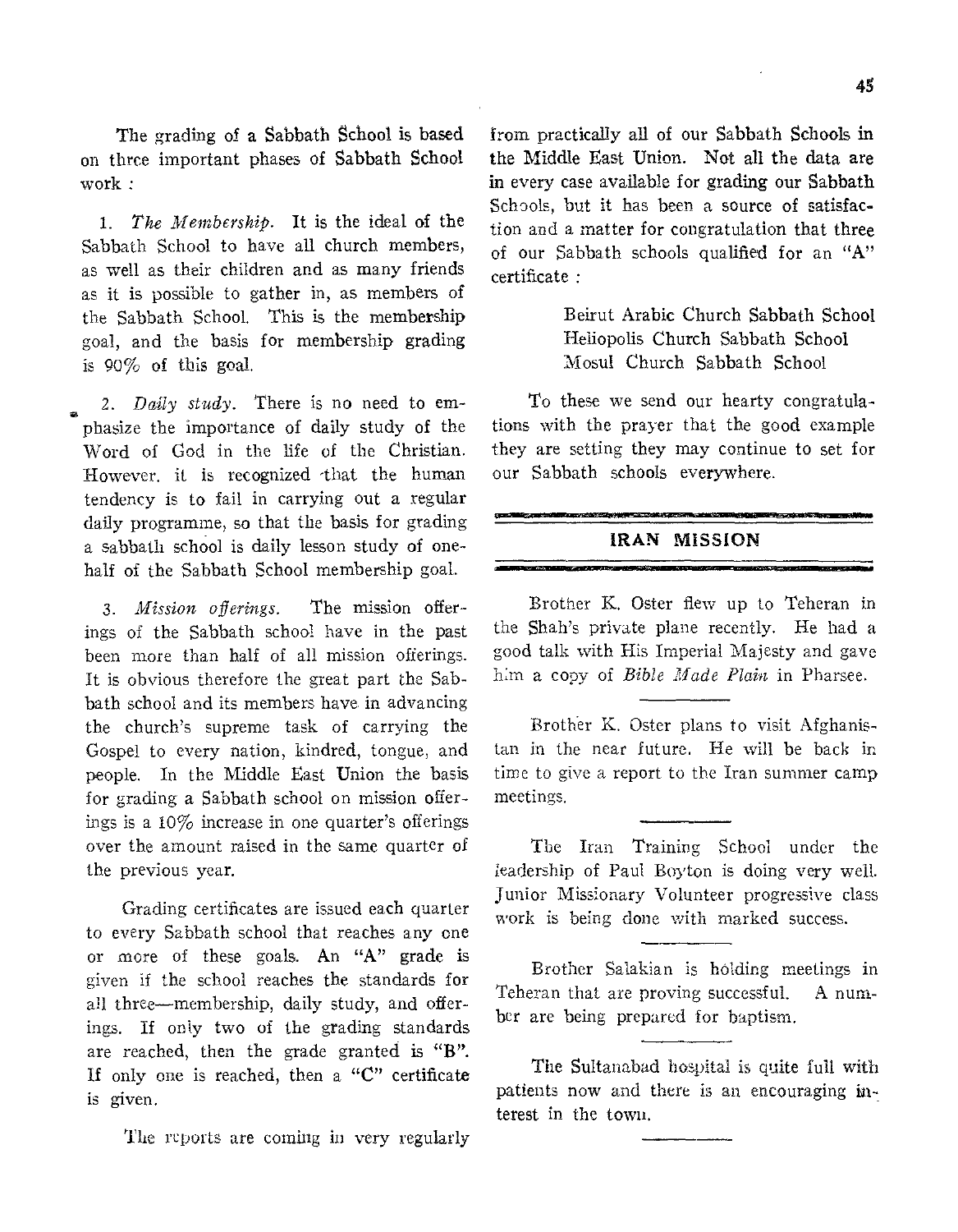The grading of a Sabbath School is based on three important phases of Sabbath **School**  work :

*1. The Membership.* It is the ideal of the Sabbath School to have all church members, as well as their children and as many friends as it is possible to gather in, as members of the Sabbath School. This is the membership goal, and the basis for membership grading is 90% of this goal.

*2. Daily study.* There is no need to emphasize the importance of daily study of the Word of God in the life of the Christian. However. **it is** recognized that the human tendency **is to** fail in carrying out a regular daily programme, so that the basis for grading a sabbath school is daily lesson study of onehalf of the Sabbath School membership goal.

*3. Mission offerings.* The mission offerings **of the Sabbath school** have in the past **been more** than half **of all** mission offerings. It is obvious therefore the great part the **Sabbath school and** its members have in advancing the **church's** supreme task of carrying **the**  Gospel **to every** nation, kindred, tongue, and people. **In the** Middle East Union the basis **for grading a** Sabbath school on mission offerings **is a. 10%** increase in one quarter's offerings **over the amount raised in** the same **quarter of the previous year.** 

**Grading certificates** are issued each quarter to **every Sabbath school** that reaches any one **or more of these** goals. An "A" grade is given if the school reaches the standards for **all three—membership,** daily study, and offerings. If only two of the grading standards **are** reached, then the grade granted is **"B".**  If only **one is** reached, then a **"C"** certificate is given.

**The reports are coming in very** regularly

from practically all of our Sabbath Schools **in the** Middle East Union. Not all the data are in every case available for grading our Sabbath Schools, but it has been a source of satisfaction and a matter for congratulation that three of our Sabbath schools qualified for an "A" certificate :

> Beirut Arabic Church Sabbath School Heliopolis Church Sabbath School Mosul Church Sabbath School

To these we send our hearty congratulations with the prayer that the good example they are setting they may continue to set for our Sabbath schools everywhere.

# **IRAN MISSION**

Brother K. Oster flew up to Teheran in **the Shah's private plane recently.** He had a **good talk with His Imperial Majesty** and **gave him a copy of** *Bible Made Plain* **in Pharsee.** 

**Brother K.** Oster plans to visit **Afghanistan in the near future. He will be back in**  time **to give a report** to the Iran summer camp **meetings.** 

The Iran Training School under the **leadership** of Paul **Boyton is doing very well. Junior Missionary Volunteer progressive class**  work is **being done with marked success.** 

**Brother Salakian is holding** meetings in **Teheran that are proving successful.** A number **are being prepared for baptism.** 

The Suitanabad **hospital is quite** full with patients now **and there is an encouraging** interest in the town.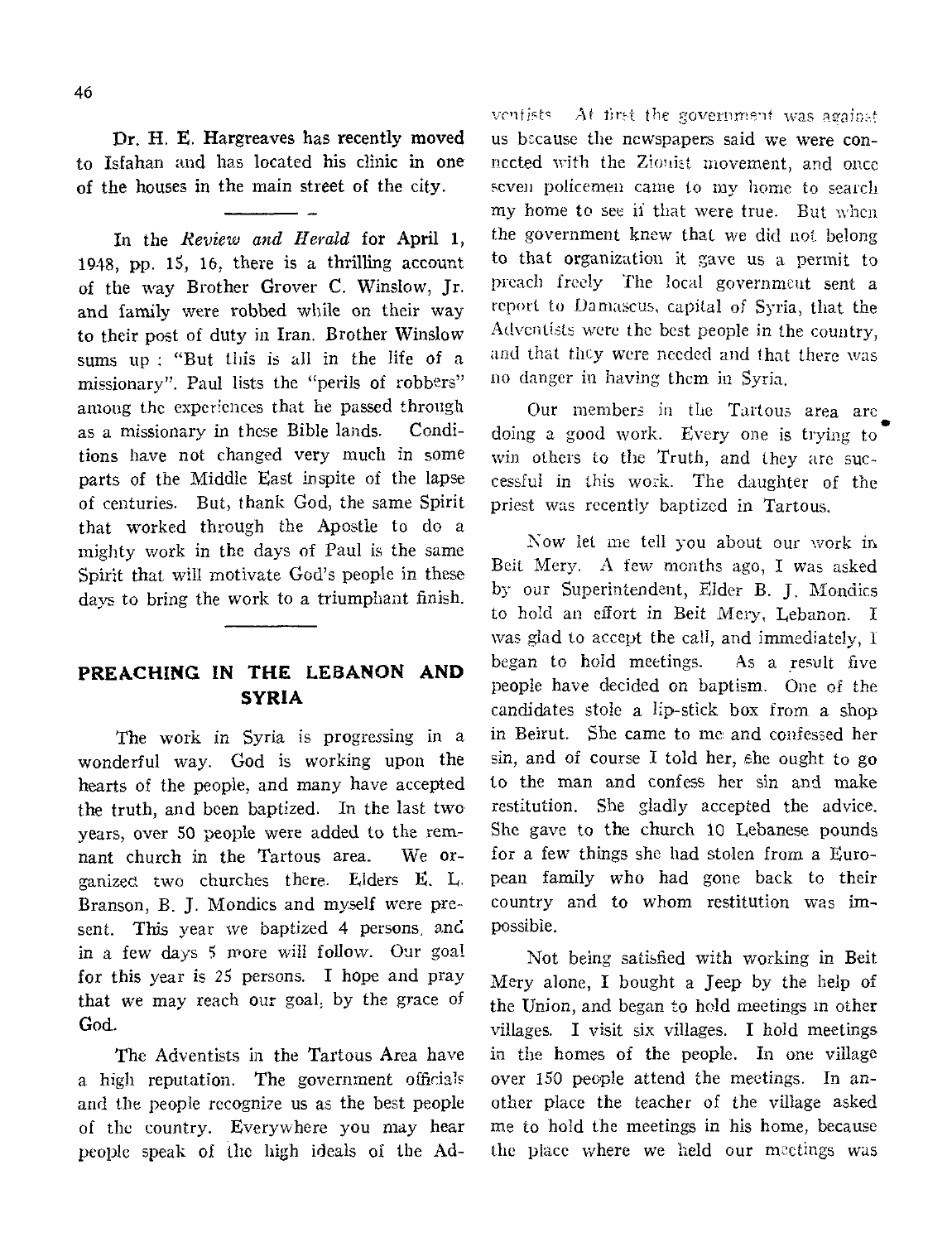Dr. H. E. Hargreaves has recently moved to Isfahan and has located his clinic in one of the houses in the main street of the city.

In the *Review and Herald* for April 1, 1948, pp. 15, 16, there is a thrilling account of the way Brother Grover C. Winslow, Jr. and family were robbed while on their way to their post of duty in Iran. Brother Winslow sums up : "But this is all in the life of a missionary". Paul lists the "perils of robbers" among the experiences that he passed through as a missionary in these Bible lands. Conditions have not changed very much in some parts of the Middle East in spite of the lapse of centuries. But, thank God, the same Spirit that worked through the Apostle to do a mighty work in the days of Paul is the same Spirit that will motivate God's people in these days to bring the work to a triumphant finish.

# **PREACHING IN THE LEBANON AND SYRIA**

The work in Syria is progressing in a wonderful way. God is working upon the hearts of the people, and many have accepted the truth, and been baptized. In the last two years, over 50 people were added to the remnant church in the Tartous area. We organized two churches there. Elders E. L. Branson, B. J. Mondics and myself were present. This year we baptized 4 persons, and in a few days 5 more will follow. Our goal for this year is 25 persons. I hope and pray that we may reach our goal, by the grace of God.

The Adventists in the Tartous Area have a high reputation. The government officials and the people recognize us as the best people of the country. Everywhere you may hear people speak of the high ideals of the Ad-

ventists  $A$ t first the government was against us because the newspapers said we were connected with the Zionist movement, and once seven policemen came to my home to search my home to see if that were true. But when the government knew that we did not belong to that organization it gave us a permit to preach freely The local government sent a report to Damascus, capital of Syria, that the Adventists were the best people in the country, and that they were needed and that there was no danger in having them in Syria.

Our members in the Tartous area arc. doing a good work. Every one is trying to win others to the Truth, and they are successful in this work. The daughter of the priest was recently baptized in Tartous,

Now let me tell you about our work in Beit Mery. A few months ago, I was asked by our Superintendent, Elder B. J. Mondics to hold an effort in Beit Mery, Lebanon. I was glad to accept the call, and immediately, I began to hold meetings. As a result five people have decided on baptism. One of the candidates stole a lip-stick box from a shop in Beirut. She came to me, and confessed her sin, and of course I told her, she ought to go to the man and confess her sin and make restitution, She gladly accepted the advice. She gave to the church 10 Lebanese pounds for a few things she had stolen from a European family who had gone back to their country and to whom restitution was impossible.

Not being satisfied with working in Beit Mery alone, I bought a Jeep by the help of the Union, and began to hold meetings in other villages. I visit six villages. I hold meetings in the homes of the people. In one village over 150 people attend the meetings. In another place the teacher of the village asked me to hold the meetings in his home, because the place where we held our meetings was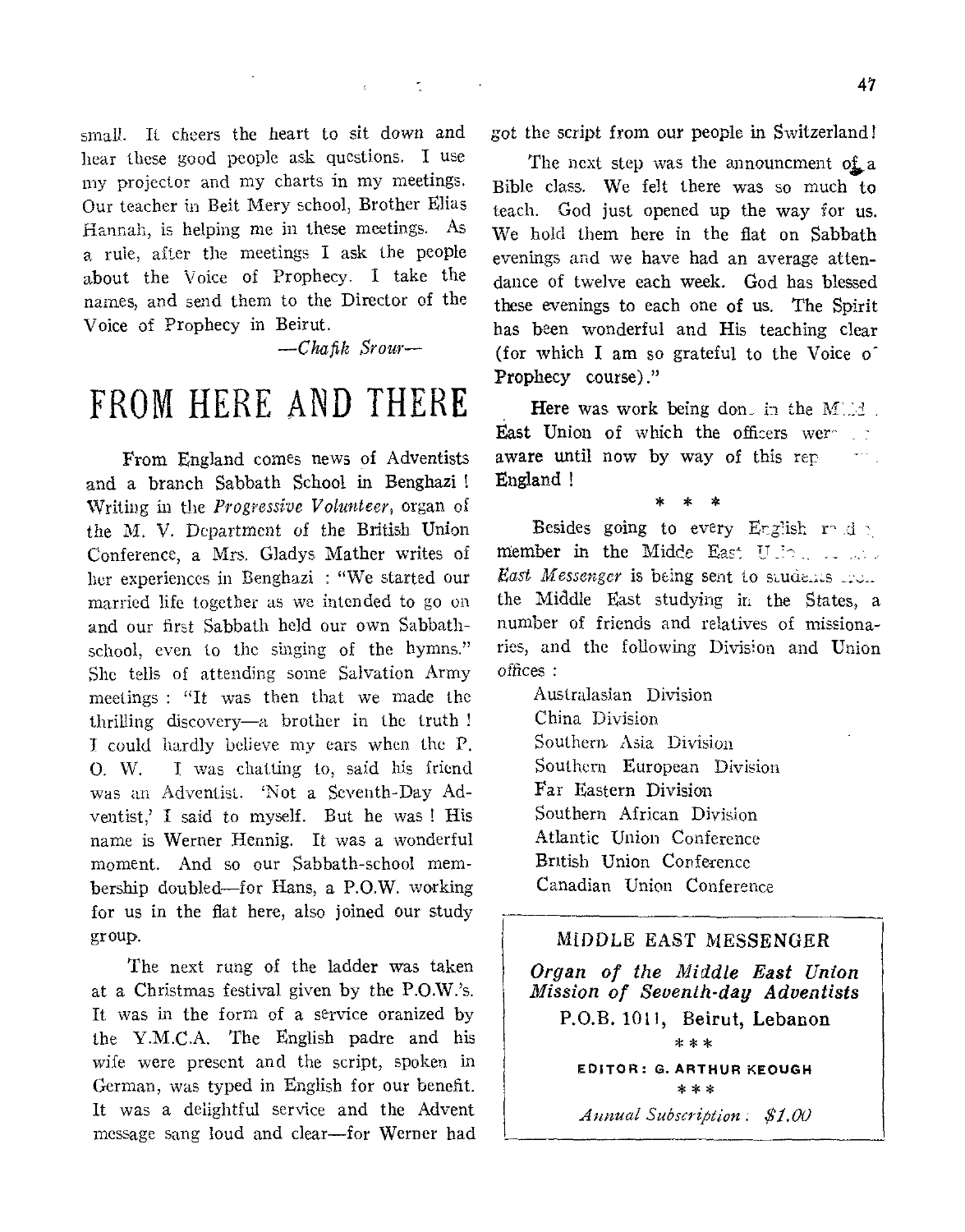small. It cheers the heart to sit down and hear these good people ask questions. I use my projector and my charts in my meetings. Our teacher in Beit Mery school, Brother Elias Hannah, is helping me in these meetings. As a rule, after the meetings I ask the people about the Voice of Prophecy. I take the names, and send them to the Director of the Voice of Prophecy in Beirut.

*—Chafik Scour—* 

# FROM HERE AND THERE

From England comes news of Adventists and a branch Sabbath School in Benghazi Writing in the *Progressive Volunteer,* organ of the M. V. Department of the British Union Conference, a Mrs. Gladys Mather writes of her experiences in Benghazi : "We started our married life together as we intended to go on and our first Sabbath held our own Sabbathschool, even to the singing of the hymns." She tells of attending some Salvation Army meetings : "It was then that we made the thrilling discovery—a brother in the truth I could hardly believe my ears when the P. 0. W. I was chatting to, said his friend was an Adventist. 'Not a Seventh-Day Adventist,' I said to myself. But he was ! His name is Werner Hennig. It was a wonderful moment. And so our Sabbath-school membership doubled—for Hans, a P.O.W. working for us in the flat here, also joined our study group.

The next rung of the ladder was taken at a Christmas festival given by the P.O.W.'s. It was in the form of a service oranized by the Y.M.C.A. The English padre and his wife were present and the script, spoken in German, was typed in English for our benefit. It was a delightful service and the Advent message sang loud and clear—for Werner had got the script from our people in Switzerland!

The next step was the announcment of a Bible class. We felt there was so much to teach. God just opened up the way for us. We hold them here in the flat on Sabbath evenings and we have had an average attendance of twelve each week. God has blessed these evenings to each one of us. The Spirit has been wonderful and His teaching clear (for which I am so grateful to the Voice  $\sigma$ ) Prophecy course)."

Here was work being don. in the M'.: $\leq$ . East Union of which the officers weraware until now by way of this rep England !

\* \* \*

Besides going to every English rode member in the Midde East Uller ... *East Messenger* is being sent to students from the Middle East studying in the States, a number of friends and relatives of missionaries, and the following Division and Union offices :

Australasian Division China Division Southern, Asia Division Southern European Division Far Eastern Division Southern African Division Atlantic Union Conference British Union Conference Canadian Union Conference

# MIDDLE EAST MESSENGER

*Organ of the Middle East Union Mission of Seventh-day Adventists*  P.O.B. 1011, Beirut, Lebanon

\* \*\*

EDITOR: G. ARTHUR KEOUGH \*\*\* *Annual Subscription \$1.00*